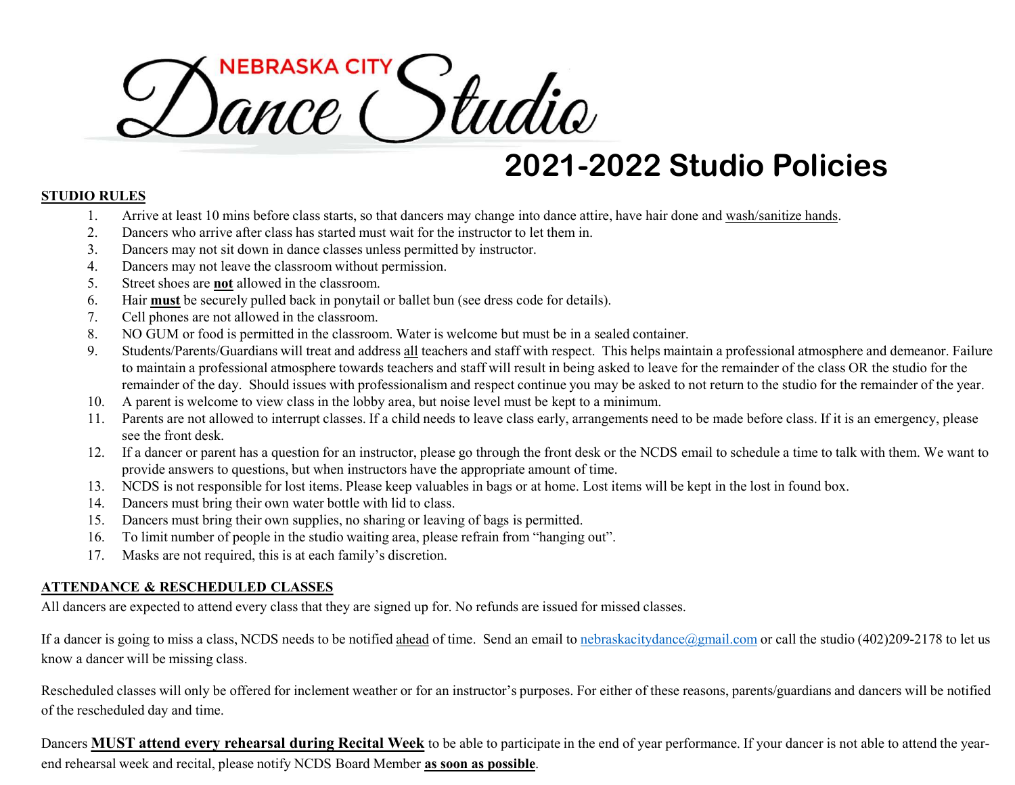# THE CONCORRECT SURVEY SURVEY SURVEY SURVEY SURVEY SURVEY AND THE ARRIVEY AND A DISCRETE AND A DISCRETE AND A DISCRETE AND A DISCRETE AND A DISCRETE AND A DISCRETE AND A DISCRETE AND A DISCRETE AND NOT CONCRETE AND NOT CONC **CONCE CONCE SERVICE SERVICE SERVICE ARRIVE ARRIVE AND SOLUTES**<br>
2. Dancers who arrive at least 10 min is before class starts, so that dancers may change into dance attire, have hair done<br>
2. Dancers may not sit down in da **Solution Control Control Control Control Control Control Control Control Control Control Control Control Control Control Control Control Control Control Control Control Control Control Control Control Control Control Cont SOUTHER SEAL CULTY**<br> **EXECUTE:**<br> **EXECUTE:**<br> **EXECUTE:**<br> **EXECUTE:**<br> **EXECUTE:**<br> **EXECUTE:**<br>
Dancers may not sit down in dance classs tarts, so that dancers may change into de<br>
2. Dancers may not is down in dance classes **SHORE STRANCE SET SHOW SET SHOW AND SET SHOW AND AND SULTES**<br>
1. Arrive at least 10 mins before class starts, so that dancers may change into<br>
2. Dancers who arrive after class has started must wait for the instructor to **SALTER SEART CULTY SECURE AND SEART AND SEARCH CONSTRANT CONSTRANT AND SEARCH CONSTRANT ON SURFACE AND SURFACE AND SURFACE AND SURFACE AND SURFACE AND SURFACE AND SURFACE AND SURFACE AND SURFACE AND SURFACE AND SURFACE AN CONCORREST (SETT)**<br> **CONCORRES**<br> **CONCORRES**<br> **CONCORRES**<br> **CONCORRES**<br> **CONCORRES**<br> **CONCORRES**<br> **CONCORRES**<br> **CONCORRES**<br> **CONCORRES**<br> **CONCORRES**<br> **CONCORRES**<br> **CONCORRES**<br> **CONCORRES**<br> **CONCORRES**<br> **CONCORRES**<br> **CONCO SALACE CONTRIGUAL CONTRIGUAL CONTRIGUAR CONTRIGUAR CONTRIGUAR CONTRIGUAR CONTRIGUAR CONTRIGUAR CONTRIGUAR CONTRIGUAR CONTRIGUAR CONTRIGUAR CONTRIGUAR CONTRIGUAR CONTRIGUAR CONTRIGUAR CONTRIGUAR CONTRIGUAR CONTRIGUAR CONTR STANS ACTY**<br> **ENDITE:**<br> **ENDITE:**<br> **ENDITE:**<br> **ENDITE:**<br> **ENDITE:**<br> **ENDITE:**<br> **ENDITE:**<br> **ENDITE:**<br> **ENDITE:**<br> **ENDITE:**<br> **ENDITE:**<br> **ENDITE:**<br> **ENDITE:**<br> **ENDITE:**<br> **ENDITE:**<br> **ENDITE:**<br> **ENDITE:**<br> **ENDITE:**<br> **ENDITE:** THE THE TRANSIA CITY<br>
SAFTWEEN A PROSECUTE SAFTWEET AND SECUTE AND SECUTE AND A PROPERTY AND A PROPERTY AND A PROPERTY AND SURFACE THE SURFACE THAT THE DRIVE TO THE DRIVE THAT THE DRIVE THAT THE STAFF OF THE STAFF OF THE S **EXERCISE AND THE SECTEST SECTES AND STANDART SOFT SECTES AND SOFT SECTES AND SOFT SECTES AND CONSULTER SURFACES SO THE SURFACES OF SURFACES AND CONSULTER SURFACES SURFACES AND A particle of the classroom. The control of t**

## 2021-2022 Studio Policies

### STUDIO RULES

- 
- 
- 
- 
- 
- 
- 
- 
- remainder of the day. Should issues with professionalism and respect continue you may be asked to not return to the studio for the remainder of the year. **EXECT CONSERVATE:**<br>
2021-2022 Studio Policies<br>
2. Distributed to intersect are not allowed to interest and state and the mistructor to let them in.<br>
2. Distributed by instruction the different class are not allowed to be **EXECTS CONSULTERENT MANUAL CONSULTERENT CONSULTERENT CONSULTERENT UNITED THE CONSULTERENT CONSULTERENT CONSULTERENT CONSULTERENT CONSULTERENT CONSULTERENT CONSULTERENT CONSULTERENT CONSULTERENT CONSULTERENT CONSULTERENT EXELUMEL SAUTIMES**<br>
1. Arrive at least 10 mins before class starts so that dancers may change into dance attire, have hair done and wash/sanitize hands<br>
2. Dancers who arrive atter class in a started must wait for the in 14. Dancers must bring their own water bottle with lid to class. **15. EXELAL EXEL ASSOCIAT ASSOCIAT ASSOCIAT ASSOCIAT AND AND THE CONDUCT AND THE CONDUCT CONDUCT THE CONDUCT THE CONDUCT THE CONDUCT THE CONDUCT THAN A DANCE THE SURVEY ON SURVEY AND THE CONDUCT THAN A SURVEY SURVEY AND TH** 1. Arrive at least 10 mins before class starts, so that dancers may change into dance attire, have hair done an<br>
2. Dancers who arrive after class has started must wait for the instructor to let them in.<br>
2. Dancers may no 2. Dancers who arrive after class has started must wait for the instructor to let them in.<br>
3. Dancers may not sit down in dance classes unless permitted by instructor.<br>
4. Dancers may not leave the classroom without permi 1. Cell phones are not allowed in the classicon.<br>
8. NO GUM or food is permitted in the classroom. Water is welcome but must be in a sealed container.<br>
9. Sincehne/Parensick interditivent and address all traches and staff
	-
	- see the front desk.
	- provide answers to questions, but when instructors have the appropriate amount of time.
	-
	-
	-
	-
	-

## ATTENDANCE & RESCHEDULED CLASSES

All dancers are expected to attend every class that they are signed up for. No refunds are issued for missed classes.

know a dancer will be missing class.

Rescheduled classes will only be offered for inclement weather or for an instructor's purposes. For either of these reasons, parents/guardians and dancers will be notified of the rescheduled day and time. 11. Parcents are not allowed to interrupt classes. If a child needs to leave class early, arrangements need to be made before class. If it is an emergency, please<br>
12. If a dancer or parent has a question for an instructio

end rehearsal week and recital, please notify NCDS Board Member as soon as possible.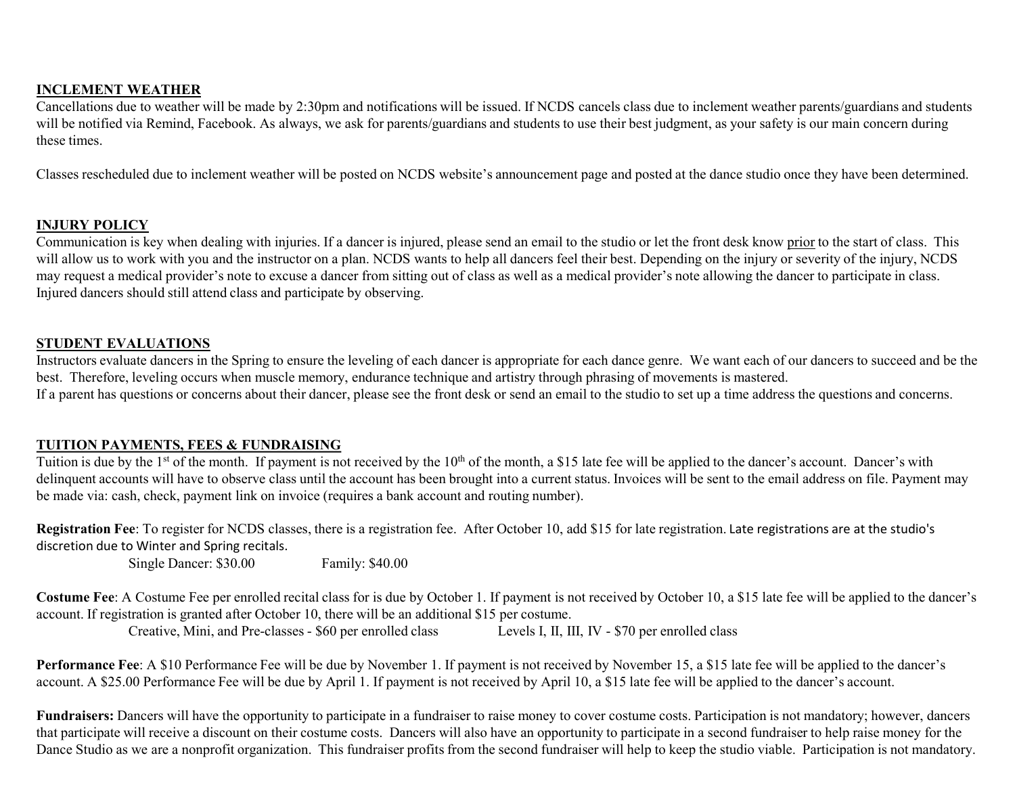#### INCLEMENT WEATHER

Cancellations due to weather will be made by 2:30pm and notifications will be issued. If NCDS cancels class due to inclement weather parents/guardians and students will be notified via Remind, Facebook. As always, we ask for parents/guardians and students to use their best judgment, as your safety is our main concern during these times.

Classes rescheduled due to inclement weather will be posted on NCDS website's announcement page and posted at the dance studio once they have been determined.

#### INJURY POLICY

**COMMENT WEATHER**<br>Cancellations due to weather will be made by 2:30pm and notifications will be issued. If NCDS cancels class due to inclement weather parents/guardians and students<br>will be notified via Remind, Facebook. A **INCLEMENT WEATHER**<br>Cancellations due to weather will be made by 2:30pm and notifications will be issued. If NCDS cancels class due to inclement weather parents/guardians and students<br>will be notified via Remind, Facebook. **INCLEMENT WEATHER**<br>Camcellations due to weather will be made by 2:30pm and notifications will be issued. If NCDS cancels class due to inclement weather parents/guardians and students<br>will be notified via kenind, Facebook. Injured dancers should still attend class and participate by observing. these times.<br>Classes rescheduled due to inclement weather will be posted on NCDS website's announcement page and posted at the dance study once they have been determined.<br> **INIURY POLICY**<br>
Communication is levy when deding Classes rescheduled due to inclement weather will be posted on NCDS website's announcement page and posted at<br> **INJURY POLICY**<br>
Communication is key when dealing with injuries. If a dancer is injured, please send an email

#### STUDENT EVALUATIONS

Instructors evaluate dancers in the Spring to ensure the leveling of each dancer is appropriate for each dance genre. We want each of our dancers to succeed and be the best. Therefore, leveling occurs when muscle memory, endurance technique and artistry through phrasing of movements is mastered. If a parent has questions or concerns about their dancer, please see the front desk or send an email to the studio to set up a time address the questions and concerns. **ALUATIONS**<br>
State dancers in the Spring to ensure the leveling of each dancer is appropriate for each dance genre. We want each of our dancers to succeed and be the<br>
leveling occurs when muscle memory, endurance technique STUDENT EVALUATIONS: EVALUATIONS: EVALUATIONS:<br>
STUDENT EVALUATIONS: EVALUATIONS: THE SPIRE OF EXALUATIONS: The CONDITIONS OF THE STUDENT IS AN EXALUATION OF THE STUDENT IS IN A CONDITION SURVEY OF THE STUDENT IS IN A COND

#### TUITION PAYMENTS, FEES & FUNDRAISING

delinquent accounts will have to observe class until the account has been brought into a current status. Invoices will be sent to the email address on file. Payment may

Registration Fee: To register for NCDS classes, there is a registration fee. After October 10, add \$15 for late registration. Late registrations are at the studio's discretion due to Winter and Spring recitals.

Single Dancer: \$30.00 Family: \$40.00

Costume Fee: A Costume Fee per enrolled recital class for is due by October 1. If payment is not received by October 10, a \$15 late fee will be applied to the dancer's account. If registration is granted after October 10, there will be an additional \$15 per costume.

account. A \$25.00 Performance Fee will be due by April 1. If payment is not received by April 10, a \$15 late fee will be applied to the dancer's account.

Fundraisers: Dancers will have the opportunity to participate in a fundraiser to raise money to cover costume costs. Participation is not mandatory; however, dancers that participate will receive a discount on their costume costs. Dancers will also have an opportunity to participate in a second fundraiser to help raise money for the Dance Studio as we are a nonprofit organization. This fundraiser profits from the second fundraiser will help to keep the studio viable. Participation is not mandatory.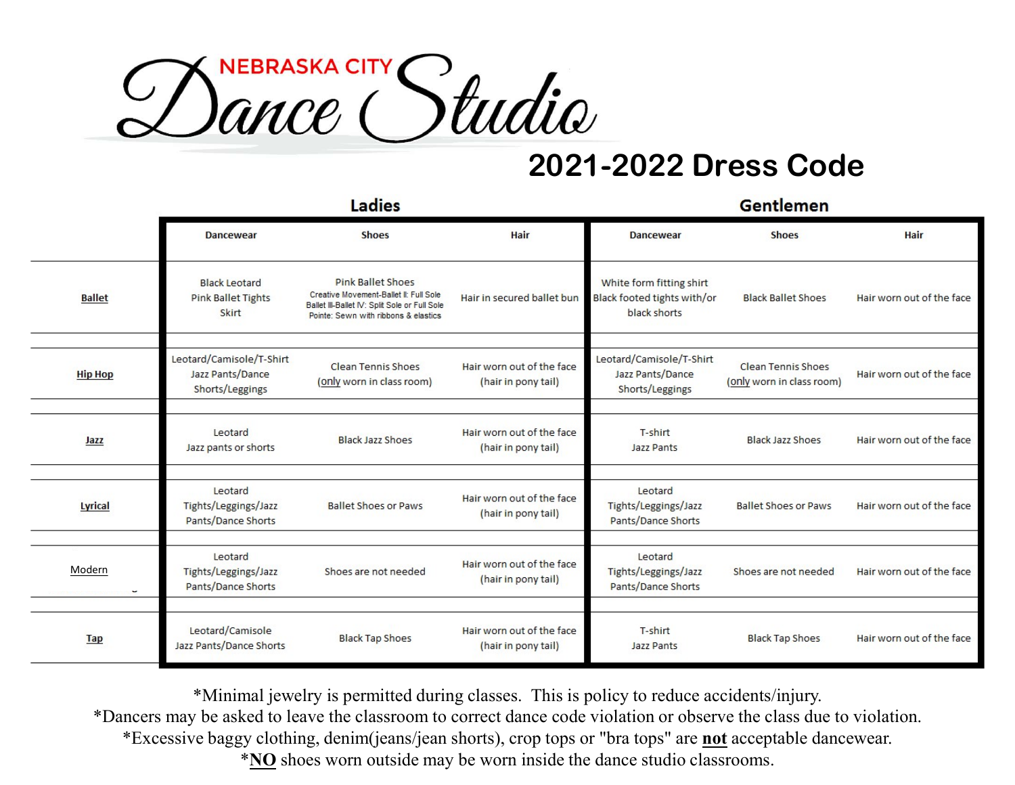

|                |                                                                 | Ladies                                                                                                                                                      |                                                  |                                                                         | <b>Gentlemen</b>                                       |                           |
|----------------|-----------------------------------------------------------------|-------------------------------------------------------------------------------------------------------------------------------------------------------------|--------------------------------------------------|-------------------------------------------------------------------------|--------------------------------------------------------|---------------------------|
|                | <b>Dancewear</b>                                                | <b>Shoes</b>                                                                                                                                                | Hair                                             | <b>Dancewear</b>                                                        | <b>Shoes</b>                                           | Hair                      |
| <b>Ballet</b>  | <b>Black Leotard</b><br><b>Pink Ballet Tights</b><br>Skirt      | <b>Pink Ballet Shoes</b><br>Creative Movement-Ballet II: Full Sole<br>Ballet III-Ballet IV: Split Sole or Full Sole<br>Pointe: Sewn with ribbons & elastics | Hair in secured ballet bun                       | White form fitting shirt<br>Black footed tights with/or<br>black shorts | <b>Black Ballet Shoes</b>                              | Hair worn out of the face |
| <b>Hip Hop</b> | Leotard/Camisole/T-Shirt<br>Jazz Pants/Dance<br>Shorts/Leggings | <b>Clean Tennis Shoes</b><br>(only worn in class room)                                                                                                      | Hair worn out of the face<br>(hair in pony tail) | Leotard/Camisole/T-Shirt<br>Jazz Pants/Dance<br>Shorts/Leggings         | <b>Clean Tennis Shoes</b><br>(only worn in class room) | Hair worn out of the face |
| Jazz           | Leotard<br>Jazz pants or shorts                                 | <b>Black Jazz Shoes</b>                                                                                                                                     | Hair worn out of the face<br>(hair in pony tail) | T-shirt<br>Jazz Pants                                                   | <b>Black Jazz Shoes</b>                                | Hair worn out of the face |
| Lyrical        | Leotard<br>Tights/Leggings/Jazz<br>Pants/Dance Shorts           | <b>Ballet Shoes or Paws</b>                                                                                                                                 | Hair worn out of the face<br>(hair in pony tail) | Leotard<br>Tights/Leggings/Jazz<br>Pants/Dance Shorts                   | <b>Ballet Shoes or Paws</b>                            | Hair worn out of the face |
| Modern         | Leotard<br>Tights/Leggings/Jazz<br>Pants/Dance Shorts           | Shoes are not needed                                                                                                                                        | Hair worn out of the face<br>(hair in pony tail) | Leotard<br>Tights/Leggings/Jazz<br>Pants/Dance Shorts                   | Shoes are not needed                                   | Hair worn out of the face |
| <b>Tap</b>     | Leotard/Camisole<br>Jazz Pants/Dance Shorts                     | <b>Black Tap Shoes</b>                                                                                                                                      | Hair worn out of the face<br>(hair in pony tail) | T-shirt<br>Jazz Pants                                                   | <b>Black Tap Shoes</b>                                 | Hair worn out of the face |

\*Minimal jewelry is permitted during classes. This is policy to reduce accidents/injury.

\*Dancers may be asked to leave the classroom to correct dance code violation or observe the class due to violation.

\*Excessive baggy clothing, denim(jeans/jean shorts), crop tops or "bra tops" are not acceptable dancewear.

\*NO shoes worn outside may be worn inside the dance studio classrooms.